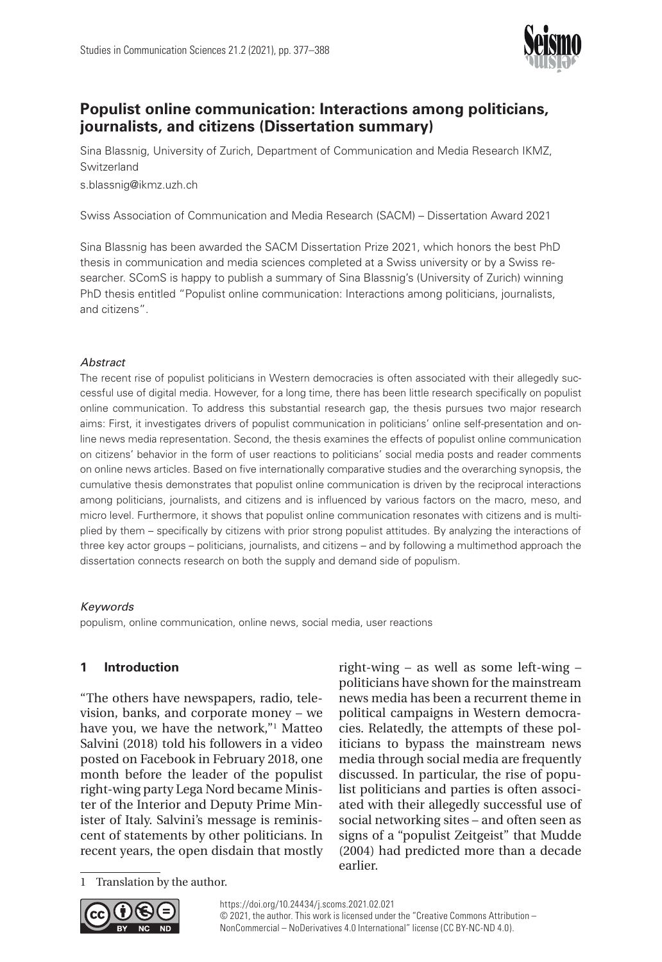

# **Populist online communication: Interactions among politicians, journalists, and citizens (Dissertation summary)**

Sina Blassnig, University of Zurich, Department of Communication and Media Research IKMZ, Switzerland

[s.blassnig@ikmz.uzh.ch](mailto:s.blassnig@ikmz.uzh.ch)

Swiss Association of Communication and Media Research (SACM) – Dissertation Award 2021

Sina Blassnig has been awarded the SACM Dissertation Prize 2021, which honors the best PhD thesis in communication and media sciences completed at a Swiss university or by a Swiss researcher. SComS is happy to publish a summary of Sina Blassnig's (University of Zurich) winning PhD thesis entitled "Populist online communication: Interactions among politicians, journalists, and citizens".

## *Abstract*

The recent rise of populist politicians in Western democracies is often associated with their allegedly successful use of digital media. However, for a long time, there has been little research specifically on populist online communication. To address this substantial research gap, the thesis pursues two major research aims: First, it investigates drivers of populist communication in politicians' online self-presentation and online news media representation. Second, the thesis examines the effects of populist online communication on citizens' behavior in the form of user reactions to politicians' social media posts and reader comments on online news articles. Based on five internationally comparative studies and the overarching synopsis, the cumulative thesis demonstrates that populist online communication is driven by the reciprocal interactions among politicians, journalists, and citizens and is influenced by various factors on the macro, meso, and micro level. Furthermore, it shows that populist online communication resonates with citizens and is multiplied by them – specifically by citizens with prior strong populist attitudes. By analyzing the interactions of three key actor groups – politicians, journalists, and citizens – and by following a multimethod approach the dissertation connects research on both the supply and demand side of populism.

## *Keywords*

populism, online communication, online news, social media, user reactions

# **1 Introduction**

"The others have newspapers, radio, television, banks, and corporate money – we have you, we have the network,"1 Matteo Salvini (2018) told his followers in a video posted on Facebook in February 2018, one month before the leader of the populist right-wing party Lega Nord became Minister of the Interior and Deputy Prime Minister of Italy. Salvini's message is reminiscent of statements by other politicians. In recent years, the open disdain that mostly

right-wing – as well as some left-wing – politicians have shown for the mainstream news media has been a recurrent theme in political campaigns in Western democracies. Relatedly, the attempts of these politicians to bypass the mainstream news media through social media are frequently discussed. In particular, the rise of populist politicians and parties is often associated with their allegedly successful use of social networking sites – and often seen as signs of a "populist Zeitgeist" that Mudde (2004) had predicted more than a decade earlier.

Translation by the author.

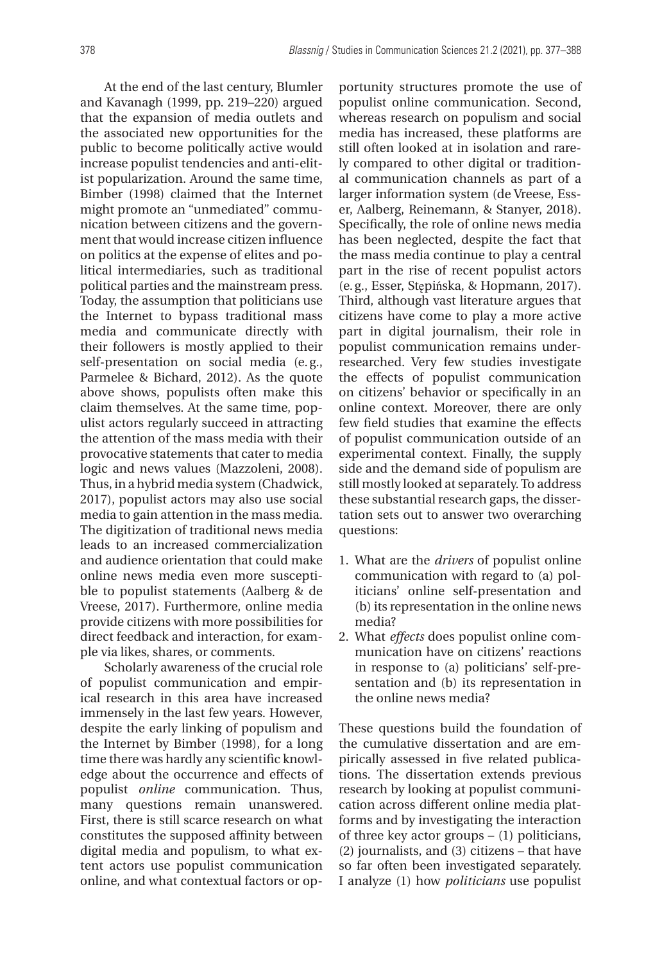At the end of the last century, Blumler and Kavanagh (1999, pp. 219–220) argued that the expansion of media outlets and the associated new opportunities for the public to become politically active would increase populist tendencies and anti-elitist popularization. Around the same time, Bimber (1998) claimed that the Internet might promote an "unmediated" communication between citizens and the government that would increase citizen influence on politics at the expense of elites and political intermediaries, such as traditional political parties and the mainstream press. Today, the assumption that politicians use the Internet to bypass traditional mass media and communicate directly with their followers is mostly applied to their self-presentation on social media (e.g., Parmelee & Bichard, 2012). As the quote above shows, populists often make this claim themselves. At the same time, populist actors regularly succeed in attracting the attention of the mass media with their provocative statements that cater to media logic and news values (Mazzoleni, 2008). Thus, in a hybrid media system (Chadwick, 2017), populist actors may also use social media to gain attention in the mass media. The digitization of traditional news media leads to an increased commercialization and audience orientation that could make online news media even more susceptible to populist statements (Aalberg & de Vreese, 2017). Furthermore, online media provide citizens with more possibilities for direct feedback and interaction, for example via likes, shares, or comments.

Scholarly awareness of the crucial role of populist communication and empirical research in this area have increased immensely in the last few years. However, despite the early linking of populism and the Internet by Bimber (1998), for a long time there was hardly any scientific knowledge about the occurrence and effects of populist *online* communication. Thus, many questions remain unanswered. First, there is still scarce research on what constitutes the supposed affinity between digital media and populism, to what extent actors use populist communication online, and what contextual factors or op-

portunity structures promote the use of populist online communication. Second, whereas research on populism and social media has increased, these platforms are still often looked at in isolation and rarely compared to other digital or traditional communication channels as part of a larger information system (de Vreese, Esser, Aalberg, Reinemann, & Stanyer, 2018). Specifically, the role of online news media has been neglected, despite the fact that the mass media continue to play a central part in the rise of recent populist actors (e.g., Esser, Stępińska, & Hopmann, 2017). Third, although vast literature argues that citizens have come to play a more active part in digital journalism, their role in populist communication remains underresearched. Very few studies investigate the effects of populist communication on citizens' behavior or specifically in an online context. Moreover, there are only few field studies that examine the effects of populist communication outside of an experimental context. Finally, the supply side and the demand side of populism are still mostly looked at separately. To address these substantial research gaps, the dissertation sets out to answer two overarching questions:

- 1. What are the *drivers* of populist online communication with regard to (a) politicians' online self-presentation and (b) its representation in the online news media?
- 2. What *effects* does populist online communication have on citizens' reactions in response to (a) politicians' self-presentation and (b) its representation in the online news media?

These questions build the foundation of the cumulative dissertation and are empirically assessed in five related publications. The dissertation extends previous research by looking at populist communication across different online media platforms and by investigating the interaction of three key actor groups – (1) politicians, (2) journalists, and (3) citizens – that have so far often been investigated separately. I analyze (1) how *politicians* use populist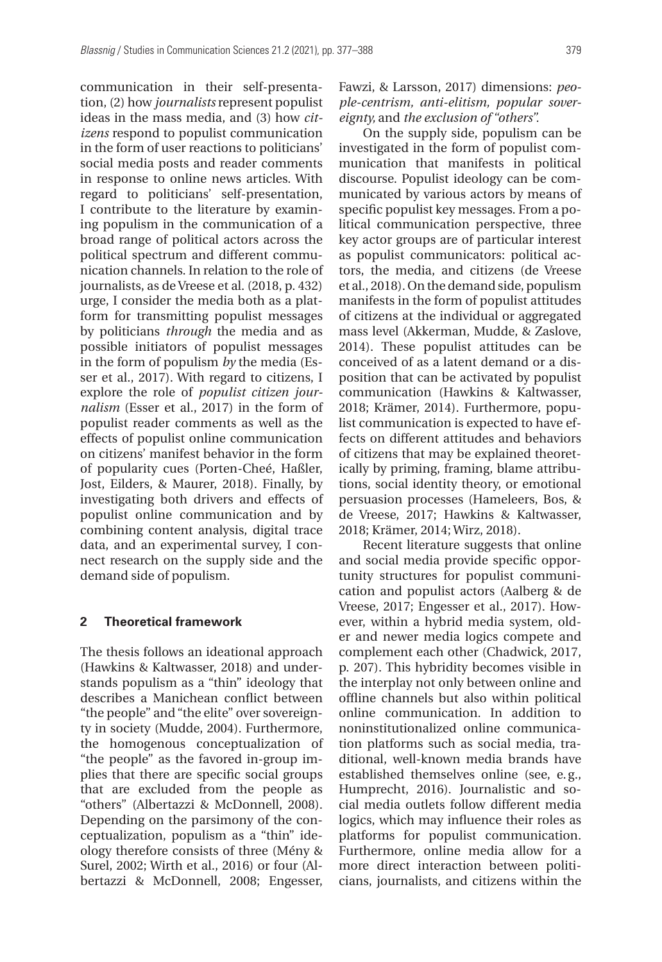communication in their self-presentation, (2) how *journalists* represent populist ideas in the mass media, and (3) how *citizens* respond to populist communication in the form of user reactions to politicians' social media posts and reader comments in response to online news articles. With regard to politicians' self-presentation, I contribute to the literature by examining populism in the communication of a broad range of political actors across the political spectrum and different communication channels. In relation to the role of journalists, as de Vreese et al. (2018, p. 432) urge, I consider the media both as a platform for transmitting populist messages by politicians *through* the media and as possible initiators of populist messages in the form of populism *by* the media (Esser et al., 2017). With regard to citizens, I explore the role of *populist citizen journalism* (Esser et al., 2017) in the form of populist reader comments as well as the effects of populist online communication on citizens' manifest behavior in the form of popularity cues (Porten-Cheé, Haßler, Jost, Eilders, & Maurer, 2018). Finally, by investigating both drivers and effects of populist online communication and by combining content analysis, digital trace data, and an experimental survey, I connect research on the supply side and the demand side of populism.

## **2 Theoretical framework**

The thesis follows an ideational approach (Hawkins & Kaltwasser, 2018) and understands populism as a "thin" ideology that describes a Manichean conflict between "the people" and "the elite" over sovereignty in society (Mudde, 2004). Furthermore, the homogenous conceptualization of "the people" as the favored in-group implies that there are specific social groups that are excluded from the people as "others" (Albertazzi & McDonnell, 2008). Depending on the parsimony of the conceptualization, populism as a "thin" ideology therefore consists of three (Mény & Surel, 2002; Wirth et al., 2016) or four (Albertazzi & McDonnell, 2008; Engesser,

Fawzi, & Larsson, 2017) dimensions: *people-centrism, anti-elitism, popular sovereignty,* and *the exclusion of "others".*

On the supply side, populism can be investigated in the form of populist communication that manifests in political discourse. Populist ideology can be communicated by various actors by means of specific populist key messages. From a political communication perspective, three key actor groups are of particular interest as populist communicators: political actors, the media, and citizens (de Vreese et al., 2018). On the demand side, populism manifests in the form of populist attitudes of citizens at the individual or aggregated mass level (Akkerman, Mudde, & Zaslove, 2014). These populist attitudes can be conceived of as a latent demand or a disposition that can be activated by populist communication (Hawkins & Kaltwasser, 2018; Krämer, 2014). Furthermore, populist communication is expected to have effects on different attitudes and behaviors of citizens that may be explained theoretically by priming, framing, blame attributions, social identity theory, or emotional persuasion processes (Hameleers, Bos, & de Vreese, 2017; Hawkins & Kaltwasser, 2018; Krämer, 2014; Wirz, 2018).

Recent literature suggests that online and social media provide specific opportunity structures for populist communication and populist actors (Aalberg & de Vreese, 2017; Engesser et al., 2017). However, within a hybrid media system, older and newer media logics compete and complement each other (Chadwick, 2017, p. 207). This hybridity becomes visible in the interplay not only between online and offline channels but also within political online communication. In addition to noninstitutionalized online communication platforms such as social media, traditional, well-known media brands have established themselves online (see, e.g., Humprecht, 2016). Journalistic and social media outlets follow different media logics, which may influence their roles as platforms for populist communication. Furthermore, online media allow for a more direct interaction between politicians, journalists, and citizens within the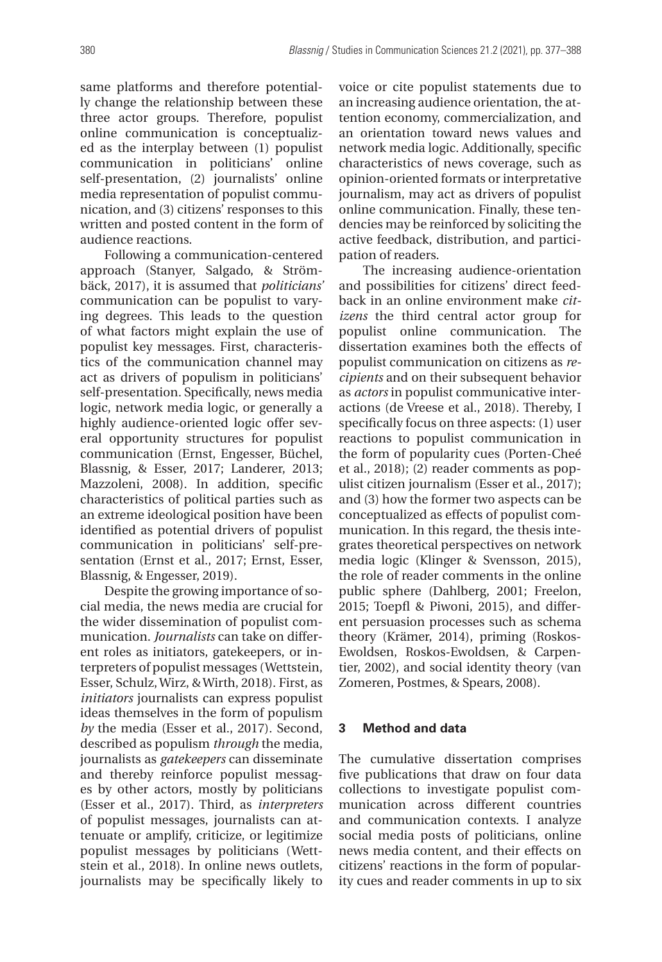same platforms and therefore potentially change the relationship between these three actor groups. Therefore, populist online communication is conceptualized as the interplay between (1) populist communication in politicians' online self-presentation, (2) journalists' online media representation of populist communication, and (3) citizens' responses to this written and posted content in the form of audience reactions.

Following a communication-centered approach (Stanyer, Salgado, & Strömbäck, 2017), it is assumed that *politicians'*  communication can be populist to varying degrees. This leads to the question of what factors might explain the use of populist key messages. First, characteristics of the communication channel may act as drivers of populism in politicians' self-presentation. Specifically, news media logic, network media logic, or generally a highly audience-oriented logic offer several opportunity structures for populist communication (Ernst, Engesser, Büchel, Blassnig, & Esser, 2017; Landerer, 2013; Mazzoleni, 2008). In addition, specific characteristics of political parties such as an extreme ideological position have been identified as potential drivers of populist communication in politicians' self-presentation (Ernst et al., 2017; Ernst, Esser, Blassnig, & Engesser, 2019).

Despite the growing importance of social media, the news media are crucial for the wider dissemination of populist communication. *Journalists* can take on different roles as initiators, gatekeepers, or interpreters of populist messages (Wettstein, Esser, Schulz, Wirz, & Wirth, 2018). First, as *initiators* journalists can express populist ideas themselves in the form of populism *by* the media (Esser et al., 2017). Second, described as populism *through* the media, journalists as *gatekeepers* can disseminate and thereby reinforce populist messages by other actors, mostly by politicians (Esser et al., 2017). Third, as *interpreters* of populist messages, journalists can attenuate or amplify, criticize, or legitimize populist messages by politicians (Wettstein et al., 2018). In online news outlets, journalists may be specifically likely to

voice or cite populist statements due to an increasing audience orientation, the attention economy, commercialization, and an orientation toward news values and network media logic. Additionally, specific characteristics of news coverage, such as opinion-oriented formats or interpretative journalism, may act as drivers of populist online communication. Finally, these tendencies may be reinforced by soliciting the active feedback, distribution, and participation of readers.

The increasing audience-orientation and possibilities for citizens' direct feed back in an online environment make *citizens* the third central actor group for populist online communication. The dissertation examines both the effects of populist communication on citizens as *recipients* and on their subsequent behavior as *actors* in populist communicative interactions (de Vreese et al., 2018). Thereby, I specifically focus on three aspects: (1) user reactions to populist communication in the form of popularity cues (Porten-Cheé et al., 2018); (2) reader comments as populist citizen journalism (Esser et al., 2017); and (3) how the former two aspects can be conceptualized as effects of populist communication. In this regard, the thesis integrates theoretical perspectives on network media logic (Klinger & Svensson, 2015), the role of reader comments in the online public sphere (Dahlberg, 2001; Freelon, 2015; Toepfl & Piwoni, 2015), and different persuasion processes such as schema theory (Krämer, 2014), priming (Roskos-Ewoldsen, Roskos-Ewoldsen, & Carpentier, 2002), and social identity theory (van Zomeren, Postmes, & Spears, 2008).

## **3 Method and data**

The cumulative dissertation comprises five publications that draw on four data collections to investigate populist communication across different countries and communication contexts. I analyze social media posts of politicians, online news media content, and their effects on citizens' reactions in the form of popularity cues and reader comments in up to six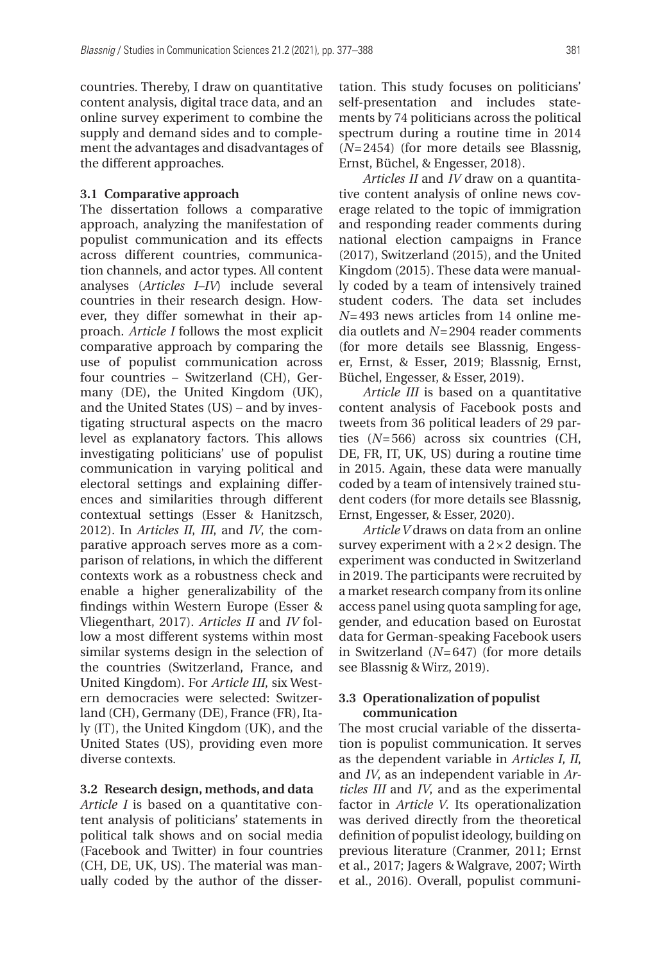countries. Thereby, I draw on quantitative content analysis, digital trace data, and an online survey experiment to combine the supply and demand sides and to complement the advantages and disadvantages of the different approaches.

### **3.1 Comparative approach**

The dissertation follows a comparative approach, analyzing the manifestation of populist communication and its effects across different countries, communication channels, and actor types. All content analyses (*Articles I–IV*) include several countries in their research design. However, they differ somewhat in their approach. *Article I* follows the most explicit comparative approach by comparing the use of populist communication across four countries – Switzerland (CH), Germany (DE), the United Kingdom (UK), and the United States (US) – and by investigating structural aspects on the macro level as explanatory factors. This allows investigating politicians' use of populist communication in varying political and electoral settings and explaining differences and similarities through different contextual settings (Esser & Hanitzsch, 2012). In *Articles II*, *III*, and *IV*, the comparative approach serves more as a comparison of relations, in which the different contexts work as a robustness check and enable a higher generalizability of the findings within Western Europe (Esser & Vliegenthart, 2017). *Articles II* and *IV* follow a most different systems within most similar systems design in the selection of the countries (Switzerland, France, and United Kingdom). For *Article III*, six Western democracies were selected: Switzerland (CH), Germany (DE), France (FR), Italy (IT), the United Kingdom (UK), and the United States (US), providing even more diverse contexts.

#### **3.2 Research design, methods, and data**

*Article I* is based on a quantitative content analysis of politicians' statements in political talk shows and on social media (Facebook and Twitter) in four countries (CH, DE, UK, US). The material was manually coded by the author of the dissertation. This study focuses on politicians' self-presentation and includes statements by 74 politicians across the political spectrum during a routine time in 2014 (*N*=2454) (for more details see Blassnig, Ernst, Büchel, & Engesser, 2018).

*Articles II* and *IV* draw on a quantitative content analysis of online news coverage related to the topic of immigration and responding reader comments during national election campaigns in France (2017), Switzerland (2015), and the United Kingdom (2015). These data were manually coded by a team of intensively trained student coders. The data set includes *N*=493 news articles from 14 online media outlets and *N*=2904 reader comments (for more details see Blassnig, Engesser, Ernst, & Esser, 2019; Blassnig, Ernst, Büchel, Engesser, & Esser, 2019).

*Article III* is based on a quantitative content analysis of Facebook posts and tweets from 36 political leaders of 29 parties (*N*=566) across six countries (CH, DE, FR, IT, UK, US) during a routine time in 2015. Again, these data were manually coded by a team of intensively trained student coders (for more details see Blassnig, Ernst, Engesser, & Esser, 2020).

*Article V* draws on data from an online survey experiment with a 2×2 design. The experiment was conducted in Switzerland in 2019. The participants were recruited by a market research company from its online access panel using quota sampling for age, gender, and education based on Eurostat data for German-speaking Facebook users in Switzerland (*N*=647) (for more details see Blassnig & Wirz, 2019).

## **3.3 Operationalization of populist communication**

The most crucial variable of the dissertation is populist communication. It serves as the dependent variable in *Articles I, II*, and *IV*, as an independent variable in *Articles III* and *IV*, and as the experimental factor in *Article V*. Its operationalization was derived directly from the theoretical definition of populist ideology, building on previous literature (Cranmer, 2011; Ernst et al., 2017; Jagers & Walgrave, 2007; Wirth et al., 2016). Overall, populist communi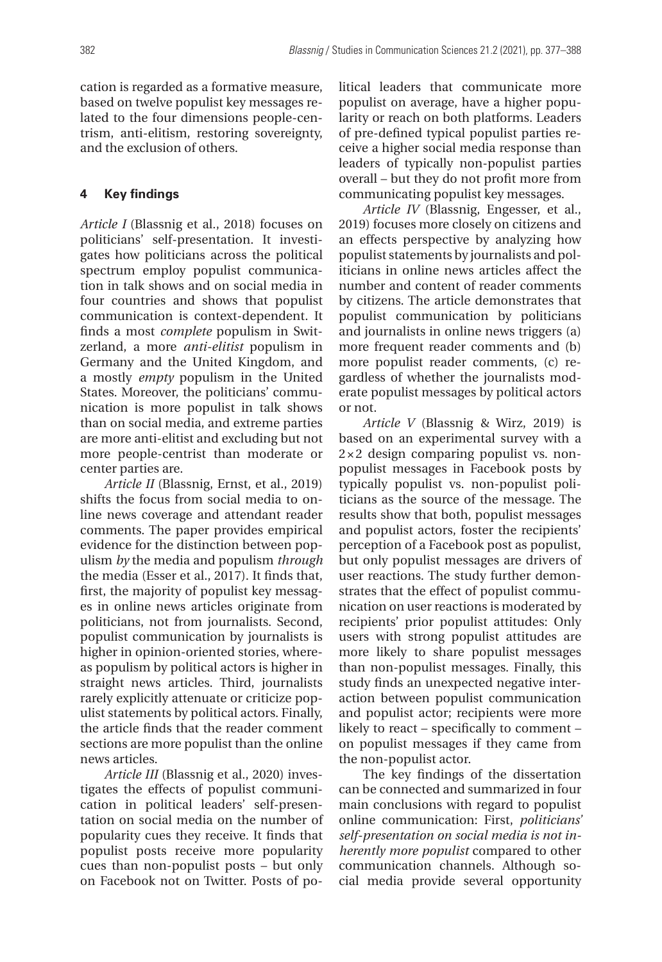cation is regarded as a formative measure, based on twelve populist key messages related to the four dimensions people-centrism, anti-elitism, restoring sovereignty, and the exclusion of others.

## **4 Key findings**

*Article I* (Blassnig et al., 2018) focuses on politicians' self-presentation. It investigates how politicians across the political spectrum employ populist communication in talk shows and on social media in four countries and shows that populist communication is context-dependent. It finds a most *complete* populism in Switzerland, a more *anti-elitist* populism in Germany and the United Kingdom, and a mostly *empty* populism in the United States. Moreover, the politicians' communication is more populist in talk shows than on social media, and extreme parties are more anti-elitist and excluding but not more people-centrist than moderate or center parties are.

*Article II* (Blassnig, Ernst, et al., 2019) shifts the focus from social media to online news coverage and attendant reader comments. The paper provides empirical evidence for the distinction between populism *by* the media and populism *through*  the media (Esser et al., 2017). It finds that, first, the majority of populist key messages in online news articles originate from politicians, not from journalists. Second, populist communication by journalists is higher in opinion-oriented stories, whereas populism by political actors is higher in straight news articles. Third, journalists rarely explicitly attenuate or criticize populist statements by political actors. Finally, the article finds that the reader comment sections are more populist than the online news articles.

*Article III* (Blassnig et al., 2020) investigates the effects of populist communication in political leaders' self-presentation on social media on the number of popularity cues they receive. It finds that populist posts receive more popularity cues than non-populist posts – but only on Facebook not on Twitter. Posts of po-

litical leaders that communicate more populist on average, have a higher popularity or reach on both platforms. Leaders of pre-defined typical populist parties receive a higher social media response than leaders of typically non-populist parties overall – but they do not profit more from communicating populist key messages.

*Article IV* (Blassnig, Engesser, et al., 2019) focuses more closely on citizens and an effects perspective by analyzing how populist statements by journalists and politicians in online news articles affect the number and content of reader comments by citizens. The article demonstrates that populist communication by politicians and journalists in online news triggers (a) more frequent reader comments and (b) more populist reader comments, (c) regardless of whether the journalists moderate populist messages by political actors or not.

*Article V* (Blassnig & Wirz, 2019) is based on an experimental survey with a 2× 2 design comparing populist vs. nonpopulist messages in Facebook posts by typically populist vs. non-populist politicians as the source of the message. The results show that both, populist messages and populist actors, foster the recipients' perception of a Facebook post as populist, but only populist messages are drivers of user reactions. The study further demonstrates that the effect of populist communication on user reactions is moderated by recipients' prior populist attitudes: Only users with strong populist attitudes are more likely to share populist messages than non-populist messages. Finally, this study finds an unexpected negative interaction between populist communication and populist actor; recipients were more likely to react – specifically to comment – on populist messages if they came from the non-populist actor.

The key findings of the dissertation can be connected and summarized in four main conclusions with regard to populist online communication: First, *politicians' self-presentation on social media is not inherently more populist* compared to other communication channels. Although social media provide several opportunity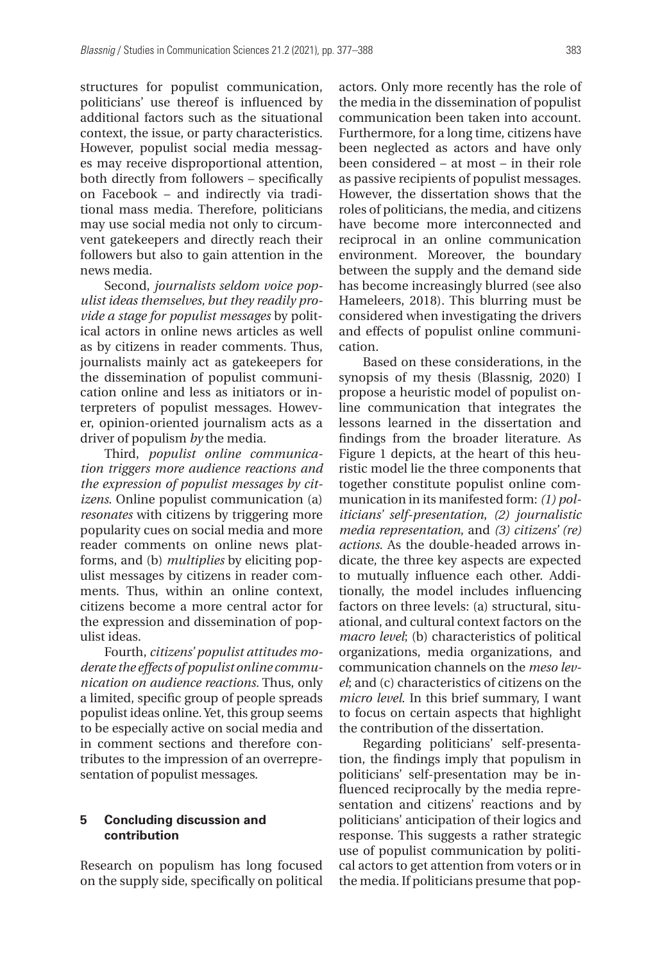structures for populist communication, politicians' use thereof is influenced by additional factors such as the situational context, the issue, or party characteristics. However, populist social media messages may receive disproportional attention, both directly from followers – specifically on Facebook – and indirectly via traditional mass media. Therefore, politicians may use social media not only to circumvent gatekeepers and directly reach their followers but also to gain attention in the news media.

Second, *journalists seldom voice populist ideas themselves, but they readily provide a stage for populist messages* by political actors in online news articles as well as by citizens in reader comments*.* Thus, journalists mainly act as gatekeepers for the dissemination of populist communication online and less as initiators or interpreters of populist messages. However, opinion-oriented journalism acts as a driver of populism *by* the media.

Third, *populist online communication triggers more audience reactions and the expression of populist messages by citizens*. Online populist communication (a) *resonates* with citizens by triggering more popularity cues on social media and more reader comments on online news platforms, and (b) *multiplies* by eliciting populist messages by citizens in reader comments. Thus, within an online context, citizens become a more central actor for the expression and dissemination of populist ideas.

Fourth, *citizens' populist attitudes moderate the effects of populist online communication on audience reactions.* Thus, only a limited, specific group of people spreads populist ideas online. Yet, this group seems to be especially active on social media and in comment sections and therefore contributes to the impression of an overrepresentation of populist messages.

## **5 Concluding discussion and contribution**

Research on populism has long focused on the supply side, specifically on political

actors. Only more recently has the role of the media in the dissemination of populist communication been taken into account. Furthermore, for a long time, citizens have been neglected as actors and have only been considered – at most – in their role as passive recipients of populist messages. However, the dissertation shows that the roles of politicians, the media, and citizens have become more interconnected and reciprocal in an online communication environment. Moreover, the boundary between the supply and the demand side has become increasingly blurred (see also Hameleers, 2018). This blurring must be considered when investigating the drivers and effects of populist online communication.

Based on these considerations, in the synopsis of my thesis (Blassnig, 2020) I propose a heuristic model of populist online communication that integrates the lessons learned in the dissertation and findings from the broader literature. As Figure 1 depicts, at the heart of this heuristic model lie the three components that together constitute populist online communication in its manifested form: *(1) politicians' self-presentation*, *(2) journalistic media representation*, and *(3) citizens' (re) actions*. As the double-headed arrows indicate, the three key aspects are expected to mutually influence each other. Additionally, the model includes influencing factors on three levels: (a) structural, situational, and cultural context factors on the *macro level*; (b) characteristics of political organizations, media organizations, and communication channels on the *meso level*; and (c) characteristics of citizens on the *micro level*. In this brief summary, I want to focus on certain aspects that highlight the contribution of the dissertation.

Regarding politicians' self-presentation, the findings imply that populism in politicians' self-presentation may be influenced reciprocally by the media representation and citizens' reactions and by politicians' anticipation of their logics and response. This suggests a rather strategic use of populist communication by political actors to get attention from voters or in the media. If politicians presume that pop-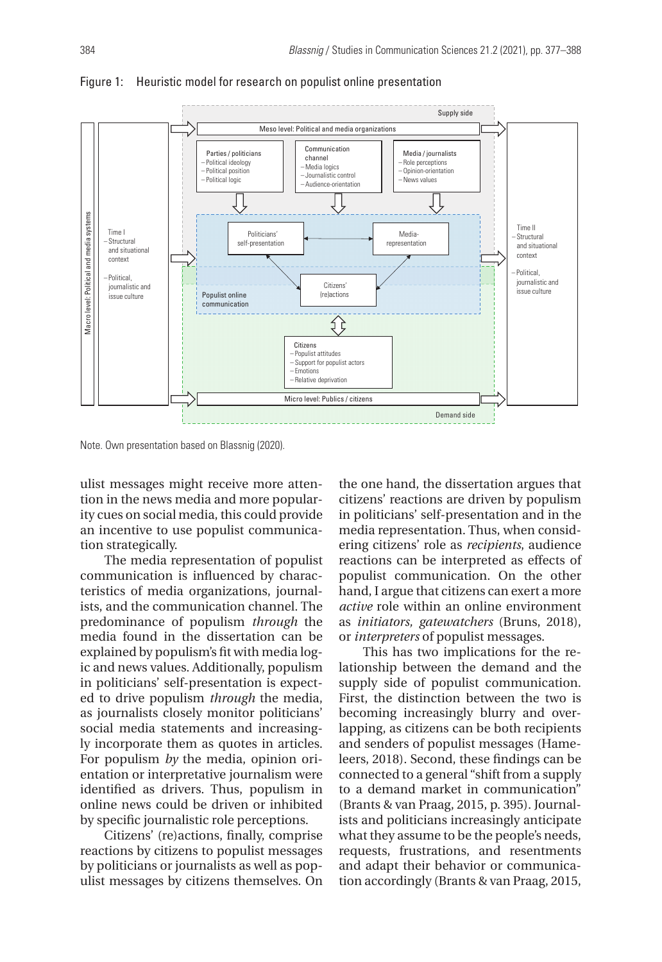

Figure 1: Heuristic model for research on populist online presentation

Note. Own presentation based on Blassnig (2020).

ulist messages might receive more attention in the news media and more popularity cues on social media, this could provide an incentive to use populist communication strategically.

The media representation of populist communication is influenced by characteristics of media organizations, journalists, and the communication channel. The predominance of populism *through* the media found in the dissertation can be explained by populism's fit with media logic and news values. Additionally, populism in politicians' self-presentation is expected to drive populism *through* the media, as journalists closely monitor politicians' social media statements and increasingly incorporate them as quotes in articles. For populism *by* the media, opinion orientation or interpretative journalism were identified as drivers. Thus, populism in online news could be driven or inhibited by specific journalistic role perceptions.

Citizens' (re)actions, finally, comprise reactions by citizens to populist messages by politicians or journalists as well as populist messages by citizens themselves. On

the one hand, the dissertation argues that citizens' reactions are driven by populism in politicians' self-presentation and in the media representation. Thus, when considering citizens' role as *recipients*, audience reactions can be interpreted as effects of populist communication. On the other hand, I argue that citizens can exert a more *active* role within an online environment as *initiators, gatewatchers* (Bruns, 2018), or *interpreters* of populist messages.

This has two implications for the relationship between the demand and the supply side of populist communication. First, the distinction between the two is becoming increasingly blurry and overlapping, as citizens can be both recipients and senders of populist messages (Hameleers, 2018). Second, these findings can be connected to a general "shift from a supply to a demand market in communication" (Brants & van Praag, 2015, p. 395). Journalists and politicians increasingly anticipate what they assume to be the people's needs, requests, frustrations, and resentments and adapt their behavior or communication accordingly (Brants & van Praag, 2015,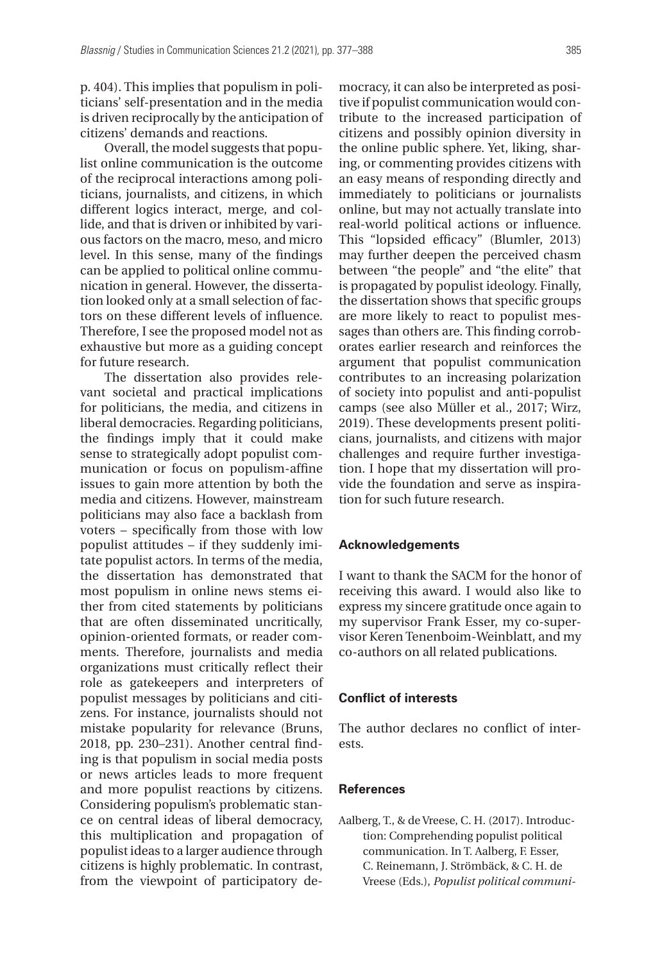p. 404). This implies that populism in politicians' self-presentation and in the media is driven reciprocally by the anticipation of citizens' demands and reactions.

Overall, the model suggests that populist online communication is the outcome of the reciprocal interactions among politicians, journalists, and citizens, in which different logics interact, merge, and collide, and that is driven or inhibited by various factors on the macro, meso, and micro level. In this sense, many of the findings can be applied to political online communication in general. However, the dissertation looked only at a small selection of factors on these different levels of influence. Therefore, I see the proposed model not as exhaustive but more as a guiding concept for future research.

The dissertation also provides relevant societal and practical implications for politicians, the media, and citizens in liberal democracies. Regarding politicians, the findings imply that it could make sense to strategically adopt populist communication or focus on populism-affine issues to gain more attention by both the media and citizens. However, mainstream politicians may also face a backlash from voters – specifically from those with low populist attitudes – if they suddenly imitate populist actors. In terms of the media, the dissertation has demonstrated that most populism in online news stems either from cited statements by politicians that are often disseminated uncritically, opinion-oriented formats, or reader comments. Therefore, journalists and media organizations must critically reflect their role as gatekeepers and interpreters of populist messages by politicians and citizens. For instance, journalists should not mistake popularity for relevance (Bruns, 2018, pp. 230–231). Another central finding is that populism in social media posts or news articles leads to more frequent and more populist reactions by citizens. Considering populism's problematic stance on central ideas of liberal democracy, this multiplication and propagation of populist ideas to a larger audience through citizens is highly problematic. In contrast, from the viewpoint of participatory democracy, it can also be interpreted as positive if populist communication would contribute to the increased participation of citizens and possibly opinion diversity in the online public sphere. Yet, liking, sharing, or commenting provides citizens with an easy means of responding directly and immediately to politicians or journalists online, but may not actually translate into real-world political actions or influence. This "lopsided efficacy" (Blumler, 2013) may further deepen the perceived chasm between "the people" and "the elite" that is propagated by populist ideology. Finally, the dissertation shows that specific groups are more likely to react to populist messages than others are. This finding corroborates earlier research and reinforces the argument that populist communication contributes to an increasing polarization of society into populist and anti-populist camps (see also Müller et al., 2017; Wirz, 2019). These developments present politicians, journalists, and citizens with major challenges and require further investigation. I hope that my dissertation will provide the foundation and serve as inspiration for such future research.

#### **Acknowledgements**

I want to thank the SACM for the honor of receiving this award. I would also like to express my sincere gratitude once again to my supervisor Frank Esser, my co-supervisor Keren Tenenboim-Weinblatt, and my co-authors on all related publications.

#### **Conflict of interests**

The author declares no conflict of interests.

## **References**

Aalberg, T., & de Vreese, C. H. (2017). Introduction: Comprehending populist political communication. In T. Aalberg, F. Esser, C. Reinemann, J. Strömbäck, & C. H. de Vreese (Eds.), *Populist political communi-*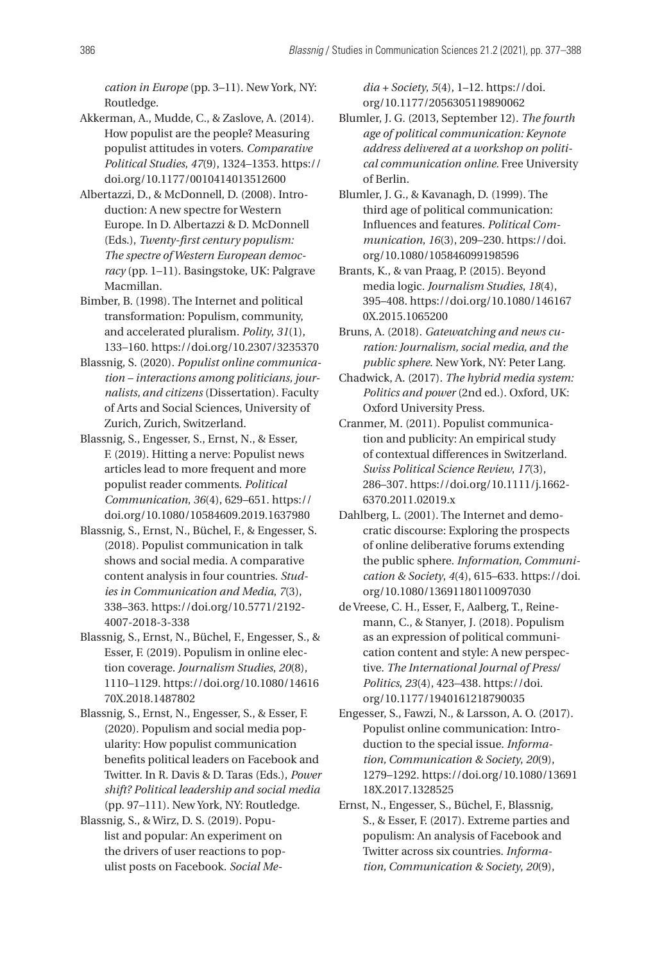*cation in Europe* (pp. 3–11). New York, NY: Routledge.

- Akkerman, A., Mudde, C., & Zaslove, A. (2014). How populist are the people? Measuring populist attitudes in voters. *Comparative Political Studies*, *47*(9), 1324–1353. [https://](https://doi.org/10.1177/0010414013512600) [doi.org/10.1177/0010414013512600](https://doi.org/10.1177/0010414013512600)
- Albertazzi, D., & McDonnell, D. (2008). Introduction: A new spectre for Western Europe. In D. Albertazzi & D. McDonnell (Eds.), *Twenty-first century populism: The spectre of Western European democracy* (pp. 1–11). Basingstoke, UK: Palgrave Macmillan.
- Bimber, B. (1998). The Internet and political transformation: Populism, community, and accelerated pluralism. *Polity*, *31*(1), 133–160.<https://doi.org/10.2307/3235370>
- Blassnig, S. (2020). *Populist online communication – interactions among politicians, journalists, and citizens* (Dissertation). Faculty of Arts and Social Sciences, University of Zurich, Zurich, Switzerland.
- Blassnig, S., Engesser, S., Ernst, N., & Esser, F. (2019). Hitting a nerve: Populist news articles lead to more frequent and more populist reader comments. *Political Communication*, *36*(4), 629–651. [https://](https://doi.org/10.1080/10584609.2019.1637980) [doi.org/10.1080/10584609.2019.1637980](https://doi.org/10.1080/10584609.2019.1637980)
- Blassnig, S., Ernst, N., Büchel, F., & Engesser, S. (2018). Populist communication in talk shows and social media. A comparative content analysis in four countries. *Studies in Communication and Media*, *7*(3), 338–363. [https://doi.org/10.5771/2192-](https://doi.org/10.5771/2192-4007-2018-3-338) [4007-2018-3-338](https://doi.org/10.5771/2192-4007-2018-3-338)
- Blassnig, S., Ernst, N., Büchel, F., Engesser, S., & Esser, F. (2019). Populism in online election coverage. *Journalism Studies*, *20*(8), 1110–1129. [https://doi.org/10.1080/14616](https://doi.org/10.1080/1461670X.2018.1487802) [70X.2018.1487802](https://doi.org/10.1080/1461670X.2018.1487802)
- Blassnig, S., Ernst, N., Engesser, S., & Esser, F. (2020). Populism and social media popularity: How populist communication benefits political leaders on Facebook and Twitter. In R. Davis & D. Taras (Eds.), *Power shift? Political leadership and social media*  (pp. 97–111). New York, NY: Routledge.
- Blassnig, S., & Wirz, D. S. (2019). Populist and popular: An experiment on the drivers of user reactions to populist posts on Facebook. *Social Me-*

*dia + Society*, *5*(4), 1–12. [https://doi.](https://doi.org/10.1177/2056305119890062) [org/10.1177/2056305119890062](https://doi.org/10.1177/2056305119890062)

- Blumler, J. G. (2013, September 12). *The fourth age of political communication: Keynote address delivered at a workshop on political communication online.* Free University of Berlin.
- Blumler, J. G., & Kavanagh, D. (1999). The third age of political communication: Influences and features. *Political Communication*, *16*(3), 209–230. [https://doi.](https://doi.org/10.1080/105846099198596) [org/10.1080/105846099198596](https://doi.org/10.1080/105846099198596)
- Brants, K., & van Praag, P. (2015). Beyond media logic. *Journalism Studies*, *18*(4), 395–408. [https://doi.org/10.1080/146167](https://doi.org/10.1080/1461670X.2015.1065200) [0X.2015.1065200](https://doi.org/10.1080/1461670X.2015.1065200)
- Bruns, A. (2018). *Gatewatching and news curation: Journalism, social media, and the public sphere*. New York, NY: Peter Lang.
- Chadwick, A. (2017). *The hybrid media system: Politics and power* (2nd ed.). Oxford, UK: Oxford University Press.
- Cranmer, M. (2011). Populist communication and publicity: An empirical study of contextual differences in Switzerland. *Swiss Political Science Review*, *17*(3), 286–307. [https://doi.org/10.1111/j.1662-](https://doi.org/10.1111/j.1662-6370.2011.02019.x) [6370.2011.02019.x](https://doi.org/10.1111/j.1662-6370.2011.02019.x)
- Dahlberg, L. (2001). The Internet and democratic discourse: Exploring the prospects of online deliberative forums extending the public sphere. *Information, Communication & Society*, *4*(4), 615–633. [https://doi.](https://doi.org/10.1080/13691180110097030) [org/10.1080/13691180110097030](https://doi.org/10.1080/13691180110097030)
- de Vreese, C. H., Esser, F., Aalberg, T., Reinemann, C., & Stanyer, J. (2018). Populism as an expression of political communication content and style: A new perspective. *The International Journal of Press/ Politics*, *23*(4), 423–438. [https://doi.](https://doi.org/10.1177/1940161218790035) [org/10.1177/1940161218790035](https://doi.org/10.1177/1940161218790035)
- Engesser, S., Fawzi, N., & Larsson, A. O. (2017). Populist online communication: Introduction to the special issue. *Information, Communication & Society*, *20*(9), 1279–1292. [https://doi.org/10.1080/13691](https://doi.org/10.1080/1369118X.2017.1328525) [18X.2017.1328525](https://doi.org/10.1080/1369118X.2017.1328525)
- Ernst, N., Engesser, S., Büchel, F., Blassnig, S., & Esser, F. (2017). Extreme parties and populism: An analysis of Facebook and Twitter across six countries. *Information, Communication & Society*, *20*(9),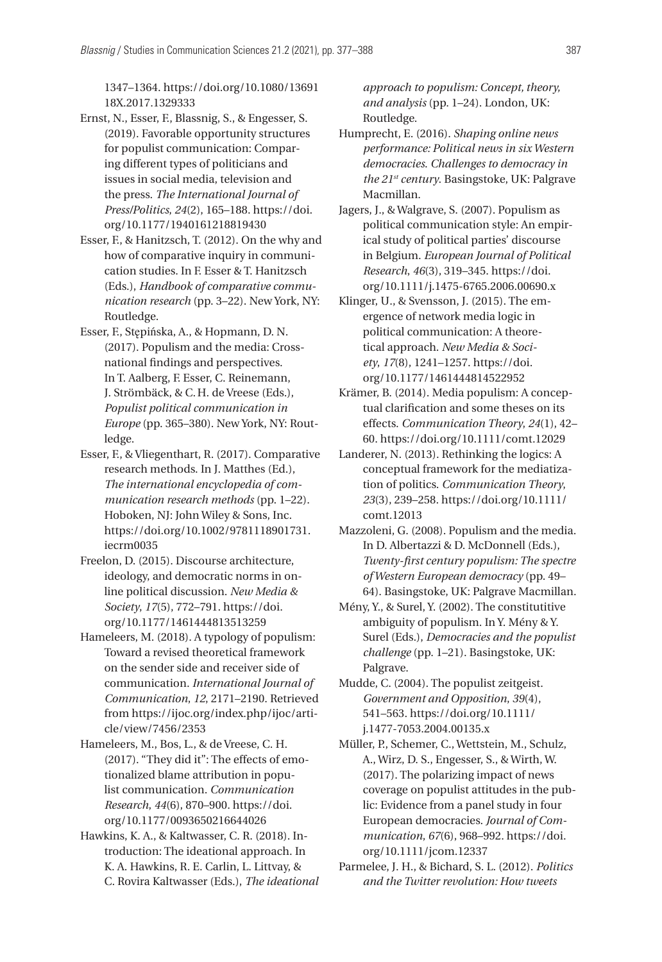1347–1364. [https://doi.org/10.1080/13691](https://doi.org/10.1080/1369118X.2017.1329333) [18X.2017.1329333](https://doi.org/10.1080/1369118X.2017.1329333)

- Ernst, N., Esser, F., Blassnig, S., & Engesser, S. (2019). Favorable opportunity structures for populist communication: Comparing different types of politicians and issues in social media, television and the press. *The International Journal of Press/Politics*, *24*(2), 165–188. [https://doi.](https://doi.org/10.1177/1940161218819430) [org/10.1177/1940161218819430](https://doi.org/10.1177/1940161218819430)
- Esser, F., & Hanitzsch, T. (2012). On the why and how of comparative inquiry in communication studies. In F. Esser & T. Hanitzsch (Eds.), *Handbook of comparative communication research* (pp. 3–22). New York, NY: Routledge.
- Esser, F., Stępińska, A., & Hopmann, D. N. (2017). Populism and the media: Crossnational findings and perspectives. In T. Aalberg, F. Esser, C. Reinemann, J. Strömbäck, & C.H. de Vreese (Eds.), *Populist political communication in Europe* (pp. 365–380). New York, NY: Routledge.
- Esser, F., & Vliegenthart, R. (2017). Comparative research methods. In J. Matthes (Ed.), *The international encyclopedia of communication research methods* (pp. 1–22). Hoboken, NJ: John Wiley & Sons, Inc. [https://doi.org/10.1002/9781118901731.](https://doi.org/10.1002/9781118901731.iecrm0035) [iecrm0035](https://doi.org/10.1002/9781118901731.iecrm0035)
- Freelon, D. (2015). Discourse architecture, ideology, and democratic norms in online political discussion. *New Media & Society*, *17*(5), 772–791. [https://doi.](https://doi.org/10.1177/1461444813513259) [org/10.1177/1461444813513259](https://doi.org/10.1177/1461444813513259)
- Hameleers, M. (2018). A typology of populism: Toward a revised theoretical framework on the sender side and receiver side of communication. *International Journal of Communication*, *12*, 2171–2190. Retrieved from [https://ijoc.org/index.php/ijoc/arti](https://ijoc.org/index.php/ijoc/article/view/7456/2353)[cle/view/7456/2353](https://ijoc.org/index.php/ijoc/article/view/7456/2353)
- Hameleers, M., Bos, L., & de Vreese, C. H. (2017). "They did it": The effects of emotionalized blame attribution in populist communication. *Communication Research*, *44*(6), 870–900. [https://doi.](https://doi.org/10.1177/0093650216644026) [org/10.1177/0093650216644026](https://doi.org/10.1177/0093650216644026)
- Hawkins, K. A., & Kaltwasser, C. R. (2018). Introduction: The ideational approach. In K. A. Hawkins, R. E. Carlin, L. Littvay, & C. Rovira Kaltwasser (Eds.), *The ideational*

*approach to populism: Concept, theory, and analysis* (pp. 1–24). London, UK: Routledge.

- Humprecht, E. (2016). *Shaping online news performance: Political news in six Western democracies*. *Challenges to democracy in the 21st century*. Basingstoke, UK: Palgrave Macmillan.
- Jagers, J., & Walgrave, S. (2007). Populism as political communication style: An empirical study of political parties' discourse in Belgium. *European Journal of Political Research*, *46*(3), 319–345. [https://doi.](https://doi.org/10.1111/j.1475-6765.2006.00690.x) [org/10.1111/j.1475-6765.2006.00690.x](https://doi.org/10.1111/j.1475-6765.2006.00690.x)
- Klinger, U., & Svensson, J. (2015). The emergence of network media logic in political communication: A theoretical approach. *New Media & Society*, *17*(8), 1241–1257. [https://doi.](https://doi.org/10.1177/1461444814522952) [org/10.1177/1461444814522952](https://doi.org/10.1177/1461444814522952)
- Krämer, B. (2014). Media populism: A conceptual clarification and some theses on its effects. *Communication Theory*, *24*(1), 42– 60. <https://doi.org/10.1111/comt.12029>
- Landerer, N. (2013). Rethinking the logics: A conceptual framework for the mediatization of politics. *Communication Theory*, *23*(3), 239–258. [https://doi.org/10.1111/](https://doi.org/10.1111/comt.12013) [comt.12013](https://doi.org/10.1111/comt.12013)
- Mazzoleni, G. (2008). Populism and the media. In D. Albertazzi & D. McDonnell (Eds.), *Twenty-first century populism: The spectre of Western European democracy* (pp. 49– 64). Basingstoke, UK: Palgrave Macmillan.
- Mény, Y., & Surel, Y. (2002). The constitutitive ambiguity of populism. In Y. Mény & Y. Surel (Eds.), *Democracies and the populist challenge* (pp. 1–21). Basingstoke, UK: Palgrave.
- Mudde, C. (2004). The populist zeitgeist. *Government and Opposition*, *39*(4), 541–563. [https://doi.org/10.1111/](https://doi.org/10.1111/j.1477-7053.2004.00135.x) [j.1477-7053.2004.00135.x](https://doi.org/10.1111/j.1477-7053.2004.00135.x)
- Müller, P., Schemer, C., Wettstein, M., Schulz, A., Wirz, D. S., Engesser, S., & Wirth, W. (2017). The polarizing impact of news coverage on populist attitudes in the public: Evidence from a panel study in four European democracies. *Journal of Communication*, *67*(6), 968–992. [https://doi.](https://doi.org/10.1111/jcom.12337) [org/10.1111/jcom.12337](https://doi.org/10.1111/jcom.12337)
- Parmelee, J. H., & Bichard, S. L. (2012). *Politics and the Twitter revolution: How tweets*